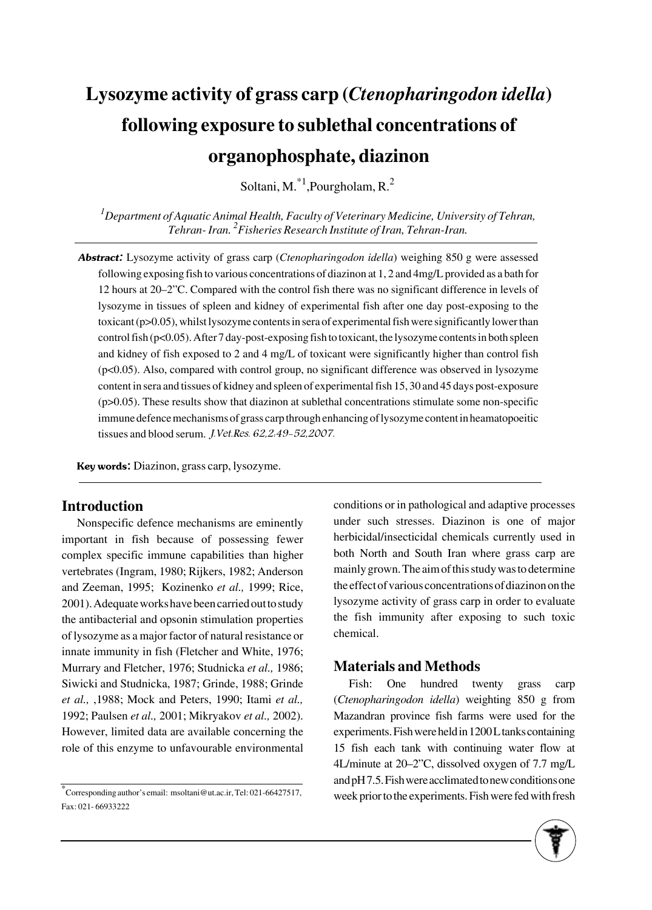# **Lysozyme activity of grass carp (***Ctenopharingodon idella***) following exposure to sublethal concentrations of organophosphate, diazinon**

Soltani, M.<sup>\*1</sup>, Pourgholam, R.<sup>2</sup>

*1 Department of Aquatic Animal Health, Faculty of Veterinary Medicine, University of Tehran, Tehran- Iran. 2 Fisheries Research Institute of Iran, Tehran-Iran.*

Abstract: Lysozyme activity of grass carp (*Ctenopharingodon idella*) weighing 850 g were assessed following exposing fish to various concentrations of diazinon at 1, 2 and 4mg/L provided as a bath for 12 hours at 20–2"C. Compared with the control fish there was no significant difference in levels of lysozyme in tissues of spleen and kidney of experimental fish after one day post-exposing to the toxicant (p>0.05), whilst lysozyme contents in sera of experimental fish were significantly lower than control fish (p<0.05). After 7 day-post-exposing fish to toxicant, the lysozyme contents in both spleen and kidney of fish exposed to 2 and 4 mg/L of toxicant were significantly higher than control fish (p<0.05). Also, compared with control group, no significant difference was observed in lysozyme content in sera and tissues of kidney and spleen of experimental fish 15, 30 and 45 days post-exposure (p>0.05). These results show that diazinon at sublethal concentrations stimulate some non-specific immune defence mechanisms of grass carp through enhancing of lysozyme content in heamatopoeitic tissues and blood serum. J.Vet.Res. 62,2:49-52,2007.

Key words: Diazinon, grass carp, lysozyme.

# **Introduction**

Nonspecific defence mechanisms are eminently important in fish because of possessing fewer complex specific immune capabilities than higher vertebrates (Ingram, 1980; Rijkers, 1982; Anderson and Zeeman, 1995; Kozinenko *et al.,* 1999; Rice, 2001). Adequate works have been carried out to study the antibacterial and opsonin stimulation properties of lysozyme as a major factor of natural resistance or innate immunity in fish (Fletcher and White, 1976; Murrary and Fletcher, 1976; Studnicka *et al.,* 1986; Siwicki and Studnicka, 1987; Grinde, 1988; Grinde *et al.,* ,1988; Mock and Peters, 1990; Itami *et al.,* 1992; Paulsen *et al.,* 2001; Mikryakov *et al.,* 2002). However, limited data are available concerning the role of this enzyme to unfavourable environmental

\*Corresponding author's email: msoltani@ut.ac.ir, Tel: 021-66427517, Fax: 021- 66933222

conditions or in pathological and adaptive processes under such stresses. Diazinon is one of major herbicidal/insecticidal chemicals currently used in both North and South Iran where grass carp are mainly grown. The aim of this study was to determine the effect of various concentrations of diazinon on the lysozyme activity of grass carp in order to evaluate the fish immunity after exposing to such toxic chemical.

# **Materials and Methods**

Fish: One hundred twenty grass carp (*Ctenopharingodon idella*) weighting 850 g from Mazandran province fish farms were used for the experiments. Fish were held in 1200 L tanks containing 15 fish each tank with continuing water flow at 4L/minute at 20–2"C, dissolved oxygen of 7.7 mg/L and pH 7.5. Fish were acclimated to new conditions one week prior to the experiments. Fish were fed with fresh

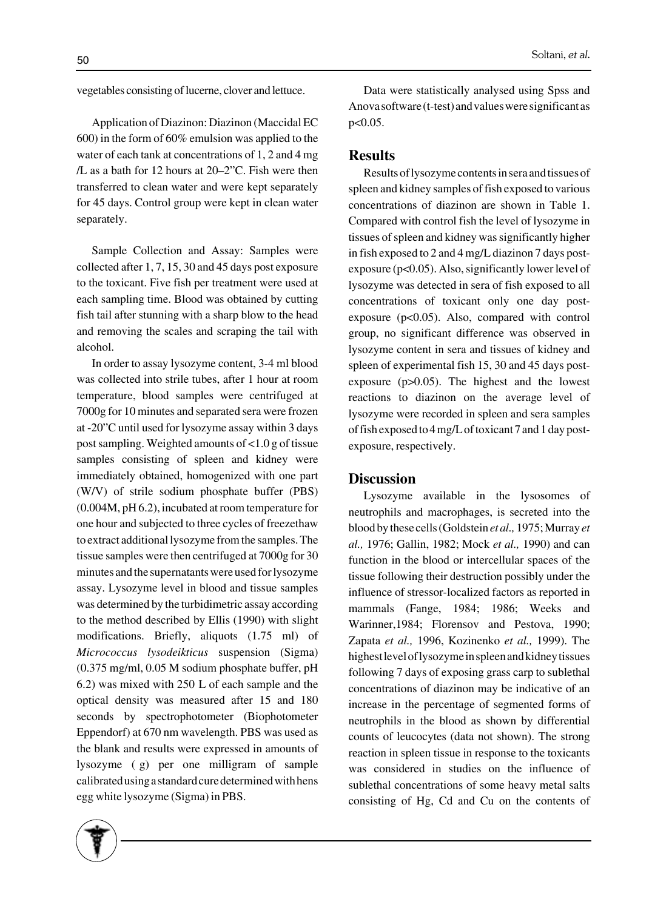vegetables consisting of lucerne, clover and lettuce.

Application of Diazinon: Diazinon (Maccidal EC 600) in the form of 60% emulsion was applied to the water of each tank at concentrations of 1, 2 and 4 mg /L as a bath for 12 hours at 20–2"C. Fish were then transferred to clean water and were kept separately for 45 days. Control group were kept in clean water separately.

Sample Collection and Assay: Samples were collected after 1, 7, 15, 30 and 45 days post exposure to the toxicant. Five fish per treatment were used at each sampling time. Blood was obtained by cutting fish tail after stunning with a sharp blow to the head and removing the scales and scraping the tail with alcohol.

In order to assay lysozyme content, 3-4 ml blood was collected into strile tubes, after 1 hour at room temperature, blood samples were centrifuged at 7000g for 10 minutes and separated sera were frozen at -20"C until used for lysozyme assay within 3 days post sampling. Weighted amounts of <1.0 g of tissue samples consisting of spleen and kidney were immediately obtained, homogenized with one part (W/V) of strile sodium phosphate buffer (PBS) (0.004M, pH 6.2), incubated at room temperature for one hour and subjected to three cycles of freezethaw to extract additional lysozyme from the samples. The tissue samples were then centrifuged at 7000g for 30 minutes and the supernatants were used for lysozyme assay. Lysozyme level in blood and tissue samples was determined by the turbidimetric assay according to the method described by Ellis (1990) with slight modifications. Briefly, aliquots (1.75 ml) of *Micrococcus lysodeikticus* suspension (Sigma) (0.375 mg/ml, 0.05 M sodium phosphate buffer, pH 6.2) was mixed with 250L of each sample and the optical density was measured after 15 and 180 seconds by spectrophotometer (Biophotometer Eppendorf) at 670 nm wavelength. PBS was used as the blank and results were expressed in amounts of lysozyme (g) per one milligram of sample calibrated using a standard cure determined with hens egg white lysozyme (Sigma) in PBS.

Data were statistically analysed using Spss and Anova software (t-test) and values were significant as p<0.05.

#### **Results**

Results of lysozyme contents in sera and tissues of spleen and kidney samples of fish exposed to various concentrations of diazinon are shown in Table 1. Compared with control fish the level of lysozyme in tissues of spleen and kidney was significantly higher in fish exposed to 2 and 4 mg/L diazinon 7 days postexposure (p<0.05). Also, significantly lower level of lysozyme was detected in sera of fish exposed to all concentrations of toxicant only one day postexposure ( $p<0.05$ ). Also, compared with control group, no significant difference was observed in lysozyme content in sera and tissues of kidney and spleen of experimental fish 15, 30 and 45 days postexposure  $(p>0.05)$ . The highest and the lowest reactions to diazinon on the average level of lysozyme were recorded in spleen and sera samples of fish exposed to 4 mg/L of toxicant 7 and 1 day postexposure, respectively.

#### **Discussion**

Lysozyme available in the lysosomes of neutrophils and macrophages, is secreted into the blood by these cells (Goldstein *et al.,* 1975; Murray *et al.,* 1976; Gallin, 1982; Mock *et al.,* 1990) and can function in the blood or intercellular spaces of the tissue following their destruction possibly under the influence of stressor-localized factors as reported in mammals (Fange, 1984; 1986; Weeks and Warinner,1984; Florensov and Pestova, 1990; Zapata *et al.,* 1996, Kozinenko *et al.,* 1999). The highest level of lysozyme in spleen and kidney tissues following 7 days of exposing grass carp to sublethal concentrations of diazinon may be indicative of an increase in the percentage of segmented forms of neutrophils in the blood as shown by differential counts of leucocytes (data not shown). The strong reaction in spleen tissue in response to the toxicants was considered in studies on the influence of sublethal concentrations of some heavy metal salts consisting of Hg, Cd and Cu on the contents of

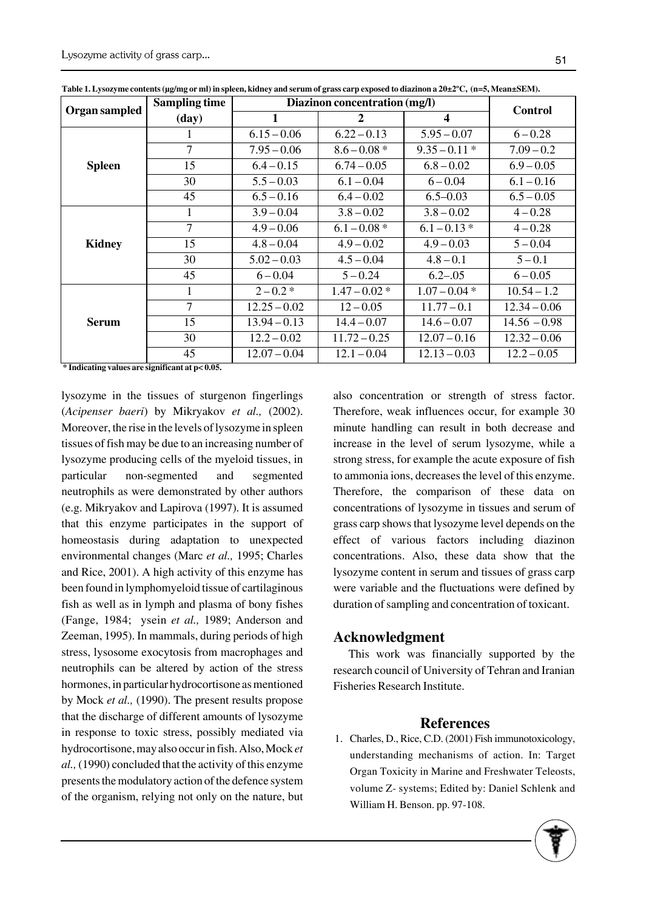| Organ sampled | <b>Sampling time</b> | Diazinon concentration (mg/l) |                |                         | <b>Control</b> |
|---------------|----------------------|-------------------------------|----------------|-------------------------|----------------|
|               | (day)                | 1                             | 2              | $\overline{\mathbf{4}}$ |                |
| <b>Spleen</b> | 1                    | $6.15 - 0.06$                 | $6.22 - 0.13$  | $5.95 - 0.07$           | $6 - 0.28$     |
|               | 7                    | $7.95 - 0.06$                 | $8.6 - 0.08*$  | $9.35 - 0.11*$          | $7.09 - 0.2$   |
|               | 15                   | $6.4 - 0.15$                  | $6.74 - 0.05$  | $6.8 - 0.02$            | $6.9 - 0.05$   |
|               | 30                   | $5.5 - 0.03$                  | $6.1 - 0.04$   | $6 - 0.04$              | $6.1 - 0.16$   |
|               | 45                   | $6.5 - 0.16$                  | $6.4 - 0.02$   | $6.5 - 0.03$            | $6.5 - 0.05$   |
| <b>Kidney</b> | 1                    | $3.9 - 0.04$                  | $3.8 - 0.02$   | $3.8 - 0.02$            | $4 - 0.28$     |
|               | $\overline{7}$       | $4.9 - 0.06$                  | $6.1 - 0.08*$  | $6.1 - 0.13*$           | $4 - 0.28$     |
|               | 15                   | $4.8 - 0.04$                  | $4.9 - 0.02$   | $4.9 - 0.03$            | $5 - 0.04$     |
|               | 30                   | $5.02 - 0.03$                 | $4.5 - 0.04$   | $4.8 - 0.1$             | $5 - 0.1$      |
|               | 45                   | $6 - 0.04$                    | $5 - 0.24$     | $6.2 - .05$             | $6 - 0.05$     |
| <b>Serum</b>  | 1                    | $2 - 0.2*$                    | $1.47 - 0.02*$ | $1.07 - 0.04*$          | $10.54 - 1.2$  |
|               | 7                    | $12.25 - 0.02$                | $12 - 0.05$    | $11.77 - 0.1$           | $12.34 - 0.06$ |
|               | 15                   | $13.94 - 0.13$                | $14.4 - 0.07$  | $14.6 - 0.07$           | $14.56 - 0.98$ |
|               | 30                   | $12.2 - 0.02$                 | $11.72 - 0.25$ | $12.07 - 0.16$          | $12.32 - 0.06$ |
|               | 45                   | $12.07 - 0.04$                | $12.1 - 0.04$  | $12.13 - 0.03$          | $12.2 - 0.05$  |

**Table 1. Lysozyme contents (μg/mg or ml) in spleen, kidney and serum of grass carp exposed to diazinon a 20±2ºC, (n=5, Mean±SEM).** 

**\* Indicating values are significant at p< 0.05.**

lysozyme in the tissues of sturgenon fingerlings (*Acipenser baeri*) by Mikryakov *et al.,* (2002). Moreover, the rise in the levels of lysozyme in spleen tissues of fish may be due to an increasing number of lysozyme producing cells of the myeloid tissues, in particular non-segmented and segmented neutrophils as were demonstrated by other authors (e.g. Mikryakov and Lapirova (1997). It is assumed that this enzyme participates in the support of homeostasis during adaptation to unexpected environmental changes (Marc *et al.,* 1995; Charles and Rice, 2001). A high activity of this enzyme has been found in lymphomyeloid tissue of cartilaginous fish as well as in lymph and plasma of bony fishes (Fange, 1984; ysein *et al.,* 1989; Anderson and Zeeman, 1995). In mammals, during periods of high stress, lysosome exocytosis from macrophages and neutrophils can be altered by action of the stress hormones, in particular hydrocortisone as mentioned by Mock *et al.,* (1990). The present results propose that the discharge of different amounts of lysozyme in response to toxic stress, possibly mediated via hydrocortisone, may also occur in fish. Also, Mock*et al.,* (1990) concluded that the activity of this enzyme presents the modulatory action of the defence system of the organism, relying not only on the nature, but also concentration or strength of stress factor. Therefore, weak influences occur, for example 30 minute handling can result in both decrease and increase in the level of serum lysozyme, while a strong stress, for example the acute exposure of fish to ammonia ions, decreases the level of this enzyme. Therefore, the comparison of these data on concentrations of lysozyme in tissues and serum of grass carp shows that lysozyme level depends on the effect of various factors including diazinon concentrations. Also, these data show that the lysozyme content in serum and tissues of grass carp were variable and the fluctuations were defined by duration of sampling and concentration of toxicant.

# **Acknowledgment**

This work was financially supported by the research council of University of Tehran and Iranian Fisheries Research Institute.

# **References**

1. Charles, D., Rice, C.D. (2001) Fish immunotoxicology, understanding mechanisms of action. In: Target Organ Toxicity in Marine and Freshwater Teleosts, volume Z- systems; Edited by: Daniel Schlenk and William H. Benson. pp. 97-108.